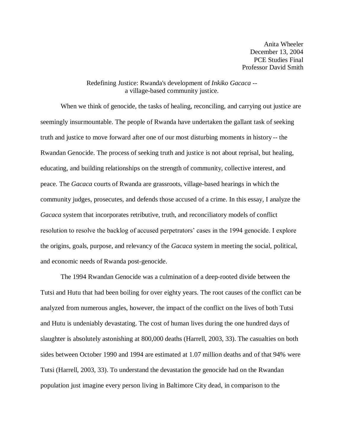Anita Wheeler December 13, 2004 PCE Studies Final Professor David Smith

## Redefining Justice: Rwanda's development of *Inkiko Gacaca -* a village-based community justice.

When we think of genocide, the tasks of healing, reconciling, and carrying out justice are seemingly insurmountable. The people of Rwanda have undertaken the gallant task of seeking truth and justice to move forward after one of our most disturbing moments in history -- the Rwandan Genocide. The process of seeking truth and justice is not about reprisal, but healing, educating, and building relationships on the strength of community, collective interest, and peace. The *Gacaca* courts of Rwanda are grassroots, village-based hearings in which the community judges, prosecutes, and defends those accused of a crime. In this essay, I analyze the *Gacaca* system that incorporates retributive, truth, and reconciliatory models of conflict resolution to resolve the backlog of accused perpetrators' cases in the 1994 genocide. I explore the origins, goals, purpose, and relevancy of the *Gacaca* system in meeting the social, political, and economic needs of Rwanda post-genocide.

The 1994 Rwandan Genocide was a culmination of a deep-rooted divide between the Tutsi and Hutu that had been boiling for over eighty years. The root causes of the conflict can be analyzed from numerous angles, however, the impact of the conflict on the lives of both Tutsi and Hutu is undeniably devastating. The cost of human lives during the one hundred days of slaughter is absolutely astonishing at 800,000 deaths (Harrell, 2003, 33). The casualties on both sides between October 1990 and 1994 are estimated at 1.07 million deaths and of that 94% were Tutsi (Harrell, 2003, 33). To understand the devastation the genocide had on the Rwandan population just imagine every person living in Baltimore City dead, in comparison to the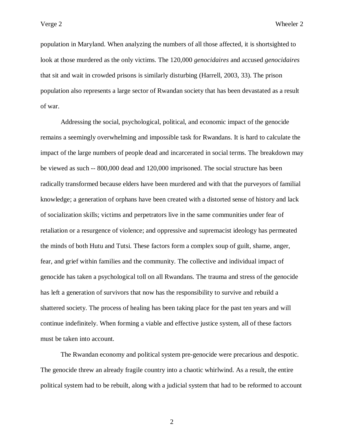population in Maryland. When analyzing the numbers of all those affected, it is shortsighted to look at those murdered as the only victims. The 120,000 *genocidaires* and accused *genocidaires* that sit and wait in crowded prisons is similarly disturbing (Harrell, 2003, 33). The prison population also represents a large sector of Rwandan society that has been devastated as a result of war.

Addressing the social, psychological, political, and economic impact of the genocide remains a seemingly overwhelming and impossible task for Rwandans. It is hard to calculate the impact of the large numbers of people dead and incarcerated in social terms. The breakdown may be viewed as such -- 800,000 dead and 120,000 imprisoned. The social structure has been radically transformed because elders have been murdered and with that the purveyors of familial knowledge; a generation of orphans have been created with a distorted sense of history and lack of socialization skills; victims and perpetrators live in the same communities under fear of retaliation or a resurgence of violence; and oppressive and supremacist ideology has permeated the minds of both Hutu and Tutsi. These factors form a complex soup of guilt, shame, anger, fear, and grief within families and the community. The collective and individual impact of genocide has taken a psychological toll on all Rwandans. The trauma and stress of the genocide has left a generation of survivors that now has the responsibility to survive and rebuild a shattered society. The process of healing has been taking place for the past ten years and will continue indefinitely. When forming a viable and effective justice system, all of these factors must be taken into account.

The Rwandan economy and political system pre-genocide were precarious and despotic. The genocide threw an already fragile country into a chaotic whirlwind. As a result, the entire political system had to be rebuilt, along with a judicial system that had to be reformed to account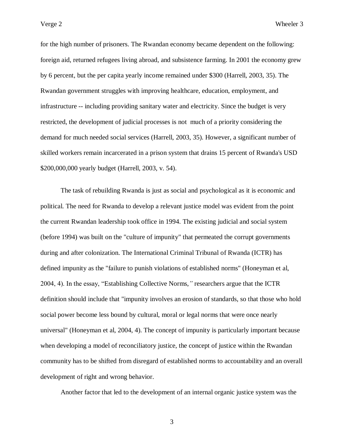for the high number of prisoners. The Rwandan economy became dependent on the following: foreign aid, returned refugees living abroad, and subsistence farming. In 2001 the economy grew by 6 percent, but the per capita yearly income remained under \$300 (Harrell, 2003, 35). The Rwandan government struggles with improving healthcare, education, employment, and infrastructure -- including providing sanitary water and electricity. Since the budget is very restricted, the development of judicial processes is not much of a priority considering the demand for much needed social services (Harrell, 2003, 35). However, a significant number of skilled workers remain incarcerated in a prison system that drains 15 percent of Rwanda's USD \$200,000,000 yearly budget (Harrell, 2003, v. 54).

The task of rebuilding Rwanda is just as social and psychological as it is economic and political. The need for Rwanda to develop a relevant justice model was evident from the point the current Rwandan leadership took office in 1994. The existing judicial and social system (before 1994) was built on the "culture of impunity" that permeated the corrupt governments during and after colonization. The International Criminal Tribunal of Rwanda (ICTR) has defined impunity as the "failure to punish violations of established norms" (Honeyman et al, 2004, 4). In the essay, "Establishing Collective Norms,*"* researchers argue that the ICTR definition should include that "impunity involves an erosion of standards, so that those who hold social power become less bound by cultural, moral or legal norms that were once nearly universal" (Honeyman et al, 2004, 4). The concept of impunity is particularly important because when developing a model of reconciliatory justice, the concept of justice within the Rwandan community has to be shifted from disregard of established norms to accountability and an overall development of right and wrong behavior.

Another factor that led to the development of an internal organic justice system was the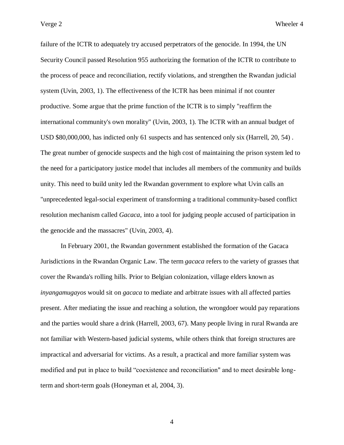failure of the ICTR to adequately try accused perpetrators of the genocide. In 1994, the UN Security Council passed Resolution 955 authorizing the formation of the ICTR to contribute to the process of peace and reconciliation, rectify violations, and strengthen the Rwandan judicial system (Uvin, 2003, 1). The effectiveness of the ICTR has been minimal if not counter productive. Some argue that the prime function of the ICTR is to simply "reaffirm the international community's own morality" (Uvin, 2003, 1). The ICTR with an annual budget of USD \$80,000,000, has indicted only 61 suspects and has sentenced only six (Harrell, 20, 54) . The great number of genocide suspects and the high cost of maintaining the prison system led to the need for a participatory justice model that includes all members of the community and builds unity. This need to build unity led the Rwandan government to explore what Uvin calls an "unprecedented legal-social experiment of transforming a traditional community-based conflict resolution mechanism called *Gacaca*, into a tool for judging people accused of participation in the genocide and the massacres" (Uvin, 2003, 4).

In February 2001, the Rwandan government established the formation of the Gacaca Jurisdictions in the Rwandan Organic Law. The term *gacaca* refers to the variety of grasses that cover the Rwanda's rolling hills. Prior to Belgian colonization, village elders known as *inyangamugayos* would sit on *gacaca* to mediate and arbitrate issues with all affected parties present. After mediating the issue and reaching a solution, the wrongdoer would pay reparations and the parties would share a drink (Harrell, 2003, 67). Many people living in rural Rwanda are not familiar with Western-based judicial systems, while others think that foreign structures are impractical and adversarial for victims. As a result, a practical and more familiar system was modified and put in place to build "coexistence and reconciliation" and to meet desirable longterm and short-term goals (Honeyman et al, 2004, 3).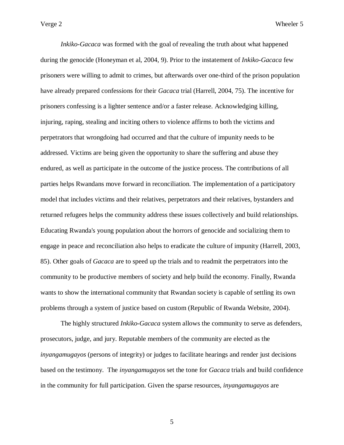*Inkiko-Gacaca* was formed with the goal of revealing the truth about what happened during the genocide (Honeyman et al, 2004, 9). Prior to the instatement of *Inkiko-Gacaca* few prisoners were willing to admit to crimes, but afterwards over one-third of the prison population have already prepared confessions for their *Gacaca* trial (Harrell, 2004, 75). The incentive for prisoners confessing is a lighter sentence and/or a faster release. Acknowledging killing, injuring, raping, stealing and inciting others to violence affirms to both the victims and perpetrators that wrongdoing had occurred and that the culture of impunity needs to be addressed. Victims are being given the opportunity to share the suffering and abuse they endured, as well as participate in the outcome of the justice process. The contributions of all parties helps Rwandans move forward in reconciliation. The implementation of a participatory model that includes victims and their relatives, perpetrators and their relatives, bystanders and returned refugees helps the community address these issues collectively and build relationships. Educating Rwanda's young population about the horrors of genocide and socializing them to engage in peace and reconciliation also helps to eradicate the culture of impunity (Harrell, 2003, 85). Other goals of *Gacaca* are to speed up the trials and to readmit the perpetrators into the community to be productive members of society and help build the economy. Finally, Rwanda wants to show the international community that Rwandan society is capable of settling its own problems through a system of justice based on custom (Republic of Rwanda Website, 2004).

The highly structured *Inkiko-Gacaca* system allows the community to serve as defenders, prosecutors, judge, and jury. Reputable members of the community are elected as the *inyangamugayos* (persons of integrity) or judges to facilitate hearings and render just decisions based on the testimony. The *inyangamugayos* set the tone for *Gacaca* trials and build confidence in the community for full participation. Given the sparse resources, *inyangamugayos* are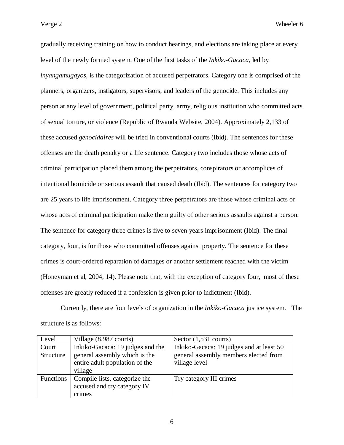gradually receiving training on how to conduct hearings, and elections are taking place at every level of the newly formed system. One of the first tasks of the *Inkiko-Gacaca*, led by *inyangamugayos*, is the categorization of accused perpetrators. Category one is comprised of the planners, organizers, instigators, supervisors, and leaders of the genocide. This includes any person at any level of government, political party, army, religious institution who committed acts of sexual torture, or violence (Republic of Rwanda Website, 2004). Approximately 2,133 of these accused *genocidaires* will be tried in conventional courts (Ibid). The sentences for these offenses are the death penalty or a life sentence. Category two includes those whose acts of criminal participation placed them among the perpetrators, conspirators or accomplices of intentional homicide or serious assault that caused death (Ibid). The sentences for category two are 25 years to life imprisonment. Category three perpetrators are those whose criminal acts or whose acts of criminal participation make them guilty of other serious assaults against a person. The sentence for category three crimes is five to seven years imprisonment (Ibid). The final category, four, is for those who committed offenses against property. The sentence for these crimes is court-ordered reparation of damages or another settlement reached with the victim (Honeyman et al, 2004, 14). Please note that, with the exception of category four, most of these offenses are greatly reduced if a confession is given prior to indictment (Ibid).

Currently, there are four levels of organization in the *Inkiko-Gacaca* justice system. The structure is as follows:

| Level            | Village (8,987 courts)           | Sector $(1,531$ courts)                  |
|------------------|----------------------------------|------------------------------------------|
| Court            | Inkiko-Gacaca: 19 judges and the | Inkiko-Gacaca: 19 judges and at least 50 |
| Structure        | general assembly which is the    | general assembly members elected from    |
|                  | entire adult population of the   | village level                            |
|                  | village                          |                                          |
| <b>Functions</b> | Compile lists, categorize the    | Try category III crimes                  |
|                  | accused and try category IV      |                                          |
|                  | crimes                           |                                          |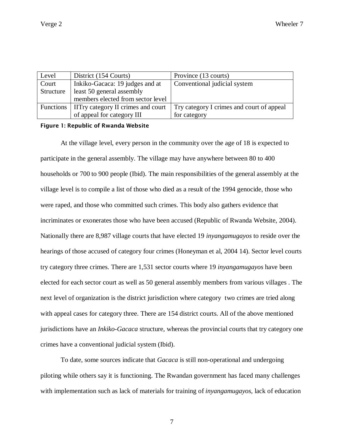| Level     | District (154 Courts)                          | Province (13 courts)                      |
|-----------|------------------------------------------------|-------------------------------------------|
| Court     | Inkiko-Gacaca: 19 judges and at                | Conventional judicial system              |
| Structure | least 50 general assembly                      |                                           |
|           | members elected from sector level              |                                           |
|           | Functions   IITry category II crimes and court | Try category I crimes and court of appeal |
|           | of appeal for category III                     | for category                              |

## Figure 1: Republic of Rwanda Website

At the village level, every person in the community over the age of 18 is expected to participate in the general assembly. The village may have anywhere between 80 to 400 households or 700 to 900 people (Ibid). The main responsibilities of the general assembly at the village level is to compile a list of those who died as a result of the 1994 genocide, those who were raped, and those who committed such crimes. This body also gathers evidence that incriminates or exonerates those who have been accused (Republic of Rwanda Website, 2004). Nationally there are 8,987 village courts that have elected 19 *inyangamugayos* to reside over the hearings of those accused of category four crimes (Honeyman et al, 2004 14). Sector level courts try category three crimes. There are 1,531 sector courts where 19 *inyangamugayos* have been elected for each sector court as well as 50 general assembly members from various villages . The next level of organization is the district jurisdiction where category two crimes are tried along with appeal cases for category three. There are 154 district courts. All of the above mentioned jurisdictions have an *Inkiko-Gacaca* structure, whereas the provincial courts that try category one crimes have a conventional judicial system (Ibid).

To date, some sources indicate that *Gacaca* is still non-operational and undergoing piloting while others say it is functioning. The Rwandan government has faced many challenges with implementation such as lack of materials for training of *inyangamugayos,* lack of education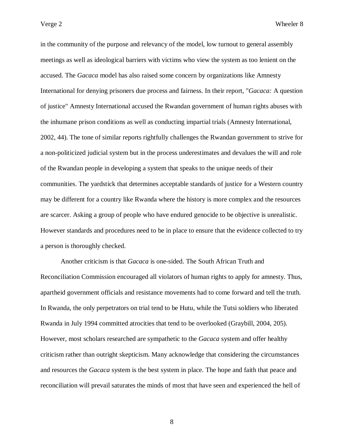in the community of the purpose and relevancy of the model, low turnout to general assembly meetings as well as ideological barriers with victims who view the system as too lenient on the accused. The *Gacaca* model has also raised some concern by organizations like Amnesty International for denying prisoners due process and fairness. In their report, "*Gacaca:* A question of justice" Amnesty International accused the Rwandan government of human rights abuses with the inhumane prison conditions as well as conducting impartial trials (Amnesty International, 2002, 44). The tone of similar reports rightfully challenges the Rwandan government to strive for a non-politicized judicial system but in the process underestimates and devalues the will and role of the Rwandan people in developing a system that speaks to the unique needs of their communities. The yardstick that determines acceptable standards of justice for a Western country may be different for a country like Rwanda where the history is more complex and the resources are scarcer. Asking a group of people who have endured genocide to be objective is unrealistic. However standards and procedures need to be in place to ensure that the evidence collected to try a person is thoroughly checked.

Another criticism is that *Gacaca* is one-sided. The South African Truth and Reconciliation Commission encouraged all violators of human rights to apply for amnesty. Thus, apartheid government officials and resistance movements had to come forward and tell the truth. In Rwanda, the only perpetrators on trial tend to be Hutu, while the Tutsi soldiers who liberated Rwanda in July 1994 committed atrocities that tend to be overlooked (Graybill, 2004, 205). However, most scholars researched are sympathetic to the *Gacaca* system and offer healthy criticism rather than outright skepticism. Many acknowledge that considering the circumstances and resources the *Gacaca* system is the best system in place. The hope and faith that peace and reconciliation will prevail saturates the minds of most that have seen and experienced the hell of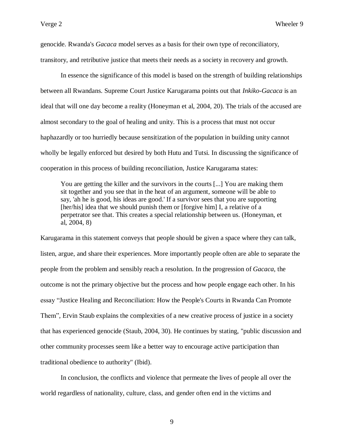genocide. Rwanda's *Gacaca* model serves as a basis for their own type of reconciliatory, transitory, and retributive justice that meets their needs as a society in recovery and growth.

In essence the significance of this model is based on the strength of building relationships between all Rwandans. Supreme Court Justice Karugarama points out that *Inkiko-Gacaca* is an ideal that will one day become a reality (Honeyman et al, 2004, 20). The trials of the accused are almost secondary to the goal of healing and unity. This is a process that must not occur haphazardly or too hurriedly because sensitization of the population in building unity cannot wholly be legally enforced but desired by both Hutu and Tutsi. In discussing the significance of cooperation in this process of building reconciliation, Justice Karugarama states:

You are getting the killer and the survivors in the courts [...] You are making them sit together and you see that in the heat of an argument, someone will be able to say, 'ah he is good, his ideas are good.' If a survivor sees that you are supporting [her/his] idea that we should punish them or [forgive him] I, a relative of a perpetrator see that. This creates a special relationship between us. (Honeyman, et al, 2004, 8)

Karugarama in this statement conveys that people should be given a space where they can talk, listen, argue, and share their experiences. More importantly people often are able to separate the people from the problem and sensibly reach a resolution. In the progression of *Gacaca*, the outcome is not the primary objective but the process and how people engage each other. In his essay "Justice Healing and Reconciliation: How the People's Courts in Rwanda Can Promote Them"*,* Ervin Staub explains the complexities of a new creative process of justice in a society that has experienced genocide (Staub, 2004, 30). He continues by stating, "public discussion and other community processes seem like a better way to encourage active participation than traditional obedience to authority" (Ibid).

In conclusion, the conflicts and violence that permeate the lives of people all over the world regardless of nationality, culture, class, and gender often end in the victims and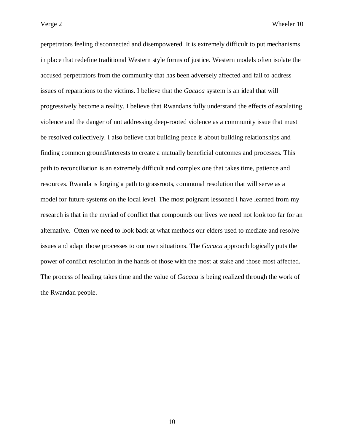perpetrators feeling disconnected and disempowered. It is extremely difficult to put mechanisms in place that redefine traditional Western style forms of justice. Western models often isolate the accused perpetrators from the community that has been adversely affected and fail to address issues of reparations to the victims. I believe that the *Gacaca* system is an ideal that will progressively become a reality. I believe that Rwandans fully understand the effects of escalating violence and the danger of not addressing deep-rooted violence as a community issue that must be resolved collectively. I also believe that building peace is about building relationships and finding common ground/interests to create a mutually beneficial outcomes and processes. This path to reconciliation is an extremely difficult and complex one that takes time, patience and resources. Rwanda is forging a path to grassroots, communal resolution that will serve as a model for future systems on the local level. The most poignant lessoned I have learned from my research is that in the myriad of conflict that compounds our lives we need not look too far for an alternative. Often we need to look back at what methods our elders used to mediate and resolve issues and adapt those processes to our own situations. The *Gacaca* approach logically puts the power of conflict resolution in the hands of those with the most at stake and those most affected. The process of healing takes time and the value of *Gacaca* is being realized through the work of the Rwandan people.